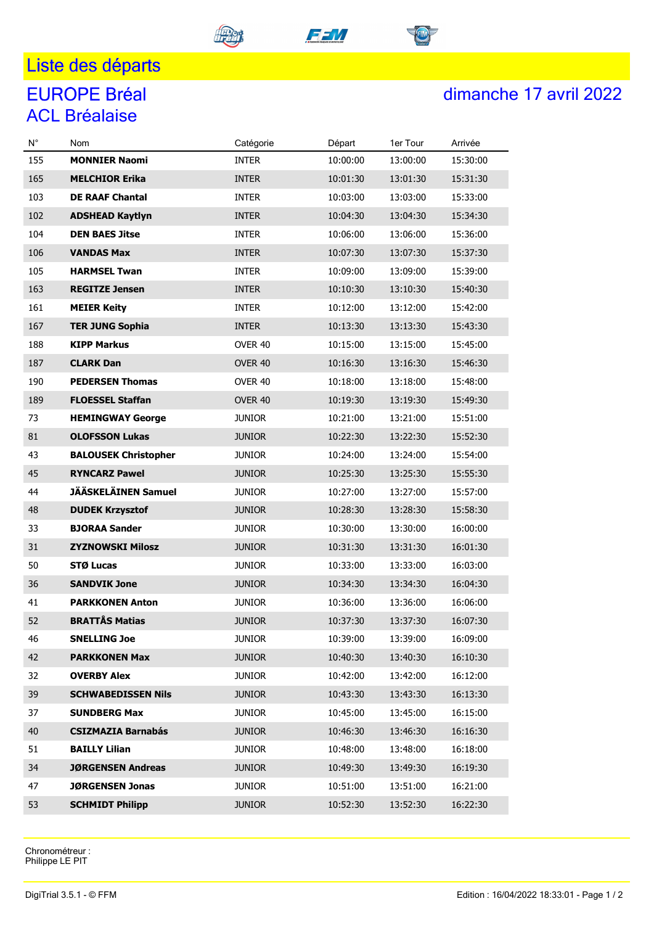#### <u>l ista da</u>

# ACL Bréalaise

## EUROPE Bréal 3.1 - Oriental 3.5.1 - Contract in the Second State 17 avril 2022

| $N^{\circ}$ | Nom                         | Catégorie     | Départ   | 1er Tour | Arrivée  |
|-------------|-----------------------------|---------------|----------|----------|----------|
| 155         | <b>MONNIER Naomi</b>        | <b>INTER</b>  | 10:00:00 | 13:00:00 | 15:30:00 |
| 165         | <b>MELCHIOR Erika</b>       | <b>INTER</b>  | 10:01:30 | 13:01:30 | 15:31:30 |
| 103         | <b>DE RAAF Chantal</b>      | <b>INTER</b>  | 10:03:00 | 13:03:00 | 15:33:00 |
| 102         | <b>ADSHEAD Kaytlyn</b>      | <b>INTER</b>  | 10:04:30 | 13:04:30 | 15:34:30 |
| 104         | <b>DEN BAES Jitse</b>       | <b>INTER</b>  | 10:06:00 | 13:06:00 | 15:36:00 |
| 106         | <b>VANDAS Max</b>           | <b>INTER</b>  | 10:07:30 | 13:07:30 | 15:37:30 |
| 105         | <b>HARMSEL Twan</b>         | <b>INTER</b>  | 10:09:00 | 13:09:00 | 15:39:00 |
| 163         | <b>REGITZE Jensen</b>       | <b>INTER</b>  | 10:10:30 | 13:10:30 | 15:40:30 |
| 161         | <b>MEIER Keity</b>          | <b>INTER</b>  | 10:12:00 | 13:12:00 | 15:42:00 |
| 167         | <b>TER JUNG Sophia</b>      | <b>INTER</b>  | 10:13:30 | 13:13:30 | 15:43:30 |
| 188         | <b>KIPP Markus</b>          | OVER 40       | 10:15:00 | 13:15:00 | 15:45:00 |
| 187         | <b>CLARK Dan</b>            | OVER 40       | 10:16:30 | 13:16:30 | 15:46:30 |
| 190         | <b>PEDERSEN Thomas</b>      | OVER 40       | 10:18:00 | 13:18:00 | 15:48:00 |
| 189         | <b>FLOESSEL Staffan</b>     | OVER 40       | 10:19:30 | 13:19:30 | 15:49:30 |
| 73          | <b>HEMINGWAY George</b>     | <b>JUNIOR</b> | 10:21:00 | 13:21:00 | 15:51:00 |
| 81          | <b>OLOFSSON Lukas</b>       | <b>JUNIOR</b> | 10:22:30 | 13:22:30 | 15:52:30 |
| 43          | <b>BALOUSEK Christopher</b> | junior        | 10:24:00 | 13:24:00 | 15:54:00 |
| 45          | <b>RYNCARZ Pawel</b>        | <b>JUNIOR</b> | 10:25:30 | 13:25:30 | 15:55:30 |
| 44          | <b>JÄÄSKELÄINEN Samuel</b>  | <b>JUNIOR</b> | 10:27:00 | 13:27:00 | 15:57:00 |
| 48          | <b>DUDEK Krzysztof</b>      | <b>JUNIOR</b> | 10:28:30 | 13:28:30 | 15:58:30 |
| 33          | <b>BJORAA Sander</b>        | <b>JUNIOR</b> | 10:30:00 | 13:30:00 | 16:00:00 |
| 31          | <b>ZYZNOWSKI Milosz</b>     | <b>JUNIOR</b> | 10:31:30 | 13:31:30 | 16:01:30 |
| 50          | <b>STØ Lucas</b>            | <b>JUNIOR</b> | 10:33:00 | 13:33:00 | 16:03:00 |
| 36          | <b>SANDVIK Jone</b>         | <b>JUNIOR</b> | 10:34:30 | 13:34:30 | 16:04:30 |
| 41          | <b>PARKKONEN Anton</b>      | <b>JUNIOR</b> | 10:36:00 | 13:36:00 | 16:06:00 |
| 52          | <b>BRATTÅS Matias</b>       | <b>JUNIOR</b> | 10:37:30 | 13:37:30 | 16:07:30 |
| 46          | <b>SNELLING Joe</b>         | <b>JUNIOR</b> | 10:39:00 | 13:39:00 | 16:09:00 |
| 42          | <b>PARKKONEN Max</b>        | <b>JUNIOR</b> | 10:40:30 | 13:40:30 | 16:10:30 |
| 32          | <b>OVERBY Alex</b>          | <b>JUNIOR</b> | 10:42:00 | 13:42:00 | 16:12:00 |
| 39          | <b>SCHWABEDISSEN Nils</b>   | <b>JUNIOR</b> | 10:43:30 | 13:43:30 | 16:13:30 |
| 37          | <b>SUNDBERG Max</b>         | <b>JUNIOR</b> | 10:45:00 | 13:45:00 | 16:15:00 |
| 40          | <b>CSIZMAZIA Barnabás</b>   | <b>JUNIOR</b> | 10:46:30 | 13:46:30 | 16:16:30 |
| 51          | <b>BAILLY Lilian</b>        | <b>JUNIOR</b> | 10:48:00 | 13:48:00 | 16:18:00 |
| 34          | <b>JØRGENSEN Andreas</b>    | <b>JUNIOR</b> | 10:49:30 | 13:49:30 | 16:19:30 |
| 47          | <b>JØRGENSEN Jonas</b>      | <b>JUNIOR</b> | 10:51:00 | 13:51:00 | 16:21:00 |
| 53          | <b>SCHMIDT Philipp</b>      | <b>JUNIOR</b> | 10:52:30 | 13:52:30 | 16:22:30 |

Chronométreur : Philippe LE PIT



FF VI